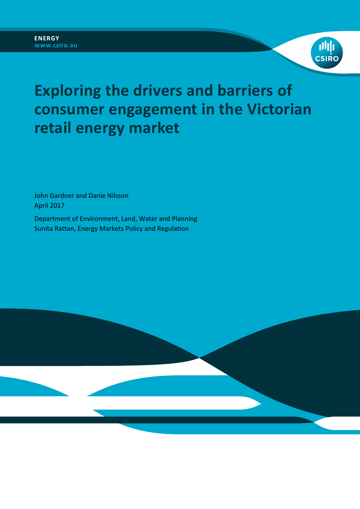



# **Exploring the drivers and barriers of consumer engagement in the Victorian retail energy market**

John Gardner and Danie Nilsson April 2017

Department of Environment, Land, Water and Planning Sunita Rattan, Energy Markets Policy and Regulation

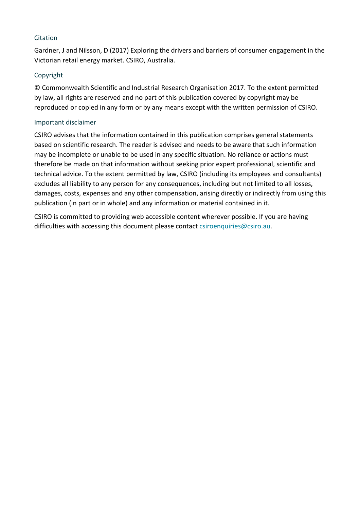### Citation

Gardner, J and Nilsson, D (2017) Exploring the drivers and barriers of consumer engagement in the Victorian retail energy market. CSIRO, Australia.

## Copyright

© Commonwealth Scientific and Industrial Research Organisation 2017. To the extent permitted by law, all rights are reserved and no part of this publication covered by copyright may be reproduced or copied in any form or by any means except with the written permission of CSIRO.

### Important disclaimer

CSIRO advises that the information contained in this publication comprises general statements based on scientific research. The reader is advised and needs to be aware that such information may be incomplete or unable to be used in any specific situation. No reliance or actions must therefore be made on that information without seeking prior expert professional, scientific and technical advice. To the extent permitted by law, CSIRO (including its employees and consultants) excludes all liability to any person for any consequences, including but not limited to all losses, damages, costs, expenses and any other compensation, arising directly or indirectly from using this publication (in part or in whole) and any information or material contained in it.

CSIRO is committed to providing web accessible content wherever possible. If you are having difficulties with accessing this document please contact csiroenquiries@csiro.au.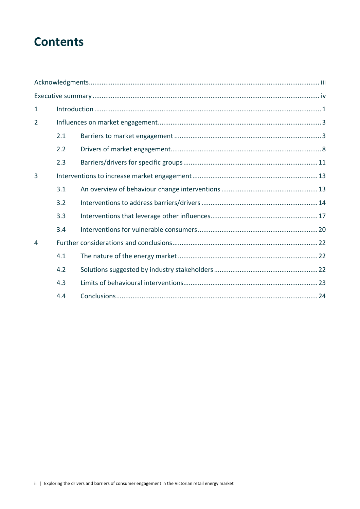## **Contents**

| $\mathbf{1}$   |     |  |  |  |
|----------------|-----|--|--|--|
| $\overline{2}$ |     |  |  |  |
|                | 2.1 |  |  |  |
|                | 2.2 |  |  |  |
|                | 2.3 |  |  |  |
| $\overline{3}$ |     |  |  |  |
|                | 3.1 |  |  |  |
|                | 3.2 |  |  |  |
|                | 3.3 |  |  |  |
|                | 3.4 |  |  |  |
| 4              |     |  |  |  |
|                | 4.1 |  |  |  |
|                | 4.2 |  |  |  |
|                | 4.3 |  |  |  |
|                | 4.4 |  |  |  |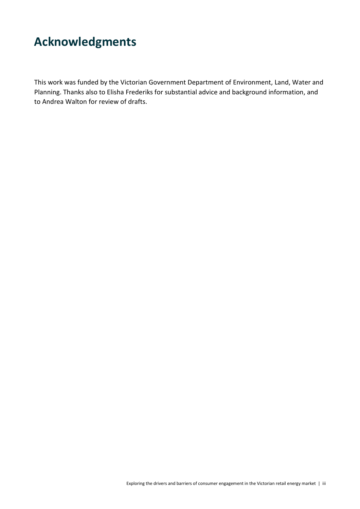## **Acknowledgments**

This work was funded by the Victorian Government Department of Environment, Land, Water and Planning. Thanks also to Elisha Frederiks for substantial advice and background information, and to Andrea Walton for review of drafts.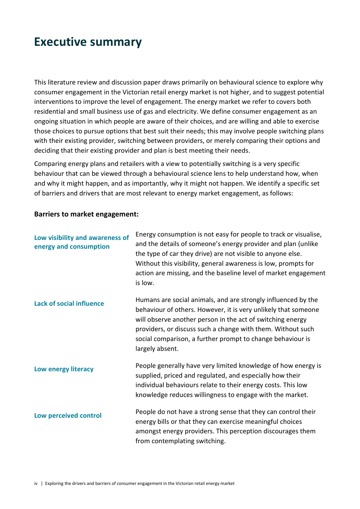## **Executive summary**

This literature review and discussion paper draws primarily on behavioural science to explore why consumer engagement in the Victorian retail energy market is not higher, and to suggest potential interventions to improve the level of engagement. The energy market we refer to covers both residential and small business use of gas and electricity. We define consumer engagement as an ongoing situation in which people are aware of their choices, and are willing and able to exercise those choices to pursue options that best suit their needs; this may involve people switching plans with their existing provider, switching between providers, or merely comparing their options and deciding that their existing provider and plan is best meeting their needs.

Comparing energy plans and retailers with a view to potentially switching is a very specific behaviour that can be viewed through a behavioural science lens to help understand how, when and why it might happen, and as importantly, why it might not happen. We identify a specific set of barriers and drivers that are most relevant to energy market engagement, as follows:

#### **Barriers to market engagement:**

| Low visibility and awareness of<br>energy and consumption | Energy consumption is not easy for people to track or visualise,<br>and the details of someone's energy provider and plan (unlike<br>the type of car they drive) are not visible to anyone else.<br>Without this visibility, general awareness is low, prompts for<br>action are missing, and the baseline level of market engagement<br>is low. |
|-----------------------------------------------------------|--------------------------------------------------------------------------------------------------------------------------------------------------------------------------------------------------------------------------------------------------------------------------------------------------------------------------------------------------|
| <b>Lack of social influence</b>                           | Humans are social animals, and are strongly influenced by the<br>behaviour of others. However, it is very unlikely that someone<br>will observe another person in the act of switching energy<br>providers, or discuss such a change with them. Without such<br>social comparison, a further prompt to change behaviour is<br>largely absent.    |
| Low energy literacy                                       | People generally have very limited knowledge of how energy is<br>supplied, priced and regulated, and especially how their<br>individual behaviours relate to their energy costs. This low<br>knowledge reduces willingness to engage with the market.                                                                                            |
| Low perceived control                                     | People do not have a strong sense that they can control their<br>energy bills or that they can exercise meaningful choices<br>amongst energy providers. This perception discourages them<br>from contemplating switching.                                                                                                                        |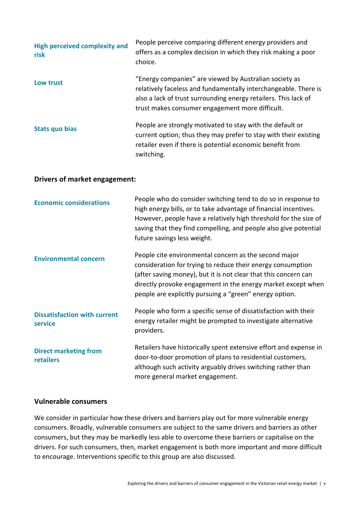| <b>High perceived complexity and</b><br>risk | People perceive comparing different energy providers and<br>offers as a complex decision in which they risk making a poor<br>choice.                                                                                                            |
|----------------------------------------------|-------------------------------------------------------------------------------------------------------------------------------------------------------------------------------------------------------------------------------------------------|
| Low trust                                    | "Energy companies" are viewed by Australian society as<br>relatively faceless and fundamentally interchangeable. There is<br>also a lack of trust surrounding energy retailers. This lack of<br>trust makes consumer engagement more difficult. |
| Stats quo bias                               | People are strongly motivated to stay with the default or<br>current option; thus they may prefer to stay with their existing<br>retailer even if there is potential economic benefit from<br>switching.                                        |

#### **Drivers of market engagement:**

| <b>Economic considerations</b>                 | People who do consider switching tend to do so in response to<br>high energy bills, or to take advantage of financial incentives.<br>However, people have a relatively high threshold for the size of<br>saving that they find compelling, and people also give potential<br>future savings less weight.           |
|------------------------------------------------|--------------------------------------------------------------------------------------------------------------------------------------------------------------------------------------------------------------------------------------------------------------------------------------------------------------------|
| <b>Environmental concern</b>                   | People cite environmental concern as the second major<br>consideration for trying to reduce their energy consumption<br>(after saving money), but it is not clear that this concern can<br>directly provoke engagement in the energy market except when<br>people are explicitly pursuing a "green" energy option. |
| <b>Dissatisfaction with current</b><br>service | People who form a specific sense of dissatisfaction with their<br>energy retailer might be prompted to investigate alternative<br>providers.                                                                                                                                                                       |
| <b>Direct marketing from</b><br>retailers      | Retailers have historically spent extensive effort and expense in<br>door-to-door promotion of plans to residential customers,<br>although such activity arguably drives switching rather than<br>more general market engagement.                                                                                  |

#### **Vulnerable consumers**

We consider in particular how these drivers and barriers play out for more vulnerable energy consumers. Broadly, vulnerable consumers are subject to the same drivers and barriers as other consumers, but they may be markedly less able to overcome these barriers or capitalise on the drivers. For such consumers, then, market engagement is both more important and more difficult to encourage. Interventions specific to this group are also discussed.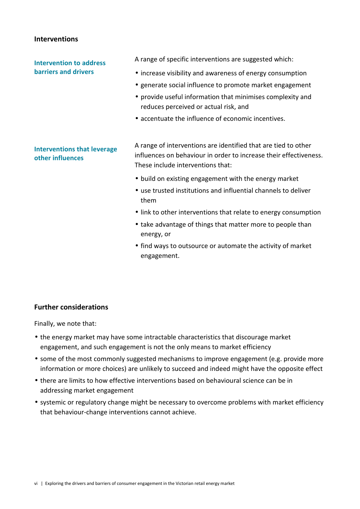#### **Interventions**

### **Intervention to address barriers and drivers**

A range of specific interventions are suggested which:

- increase visibility and awareness of energy consumption
- generate social influence to promote market engagement
- provide useful information that minimises complexity and reduces perceived or actual risk, and
- accentuate the influence of economic incentives.

### **Interventions that leverage other influences**

A range of interventions are identified that are tied to other influences on behaviour in order to increase their effectiveness. These include interventions that:

- build on existing engagement with the energy market
- use trusted institutions and influential channels to deliver them
- link to other interventions that relate to energy consumption
- take advantage of things that matter more to people than energy, or
- find ways to outsource or automate the activity of market engagement.

## **Further considerations**

Finally, we note that:

- the energy market may have some intractable characteristics that discourage market engagement, and such engagement is not the only means to market efficiency
- some of the most commonly suggested mechanisms to improve engagement (e.g. provide more information or more choices) are unlikely to succeed and indeed might have the opposite effect
- there are limits to how effective interventions based on behavioural science can be in addressing market engagement
- systemic or regulatory change might be necessary to overcome problems with market efficiency that behaviour-change interventions cannot achieve.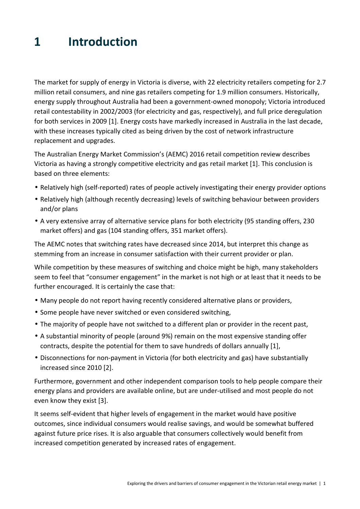## **1 Introduction**

The market for supply of energy in Victoria is diverse, with 22 electricity retailers competing for 2.7 million retail consumers, and nine gas retailers competing for 1.9 million consumers. Historically, energy supply throughout Australia had been a government-owned monopoly; Victoria introduced retail contestability in 2002/2003 (for electricity and gas, respectively), and full price deregulation for both services in 2009 [1]. Energy costs have markedly increased in Australia in the last decade, with these increases typically cited as being driven by the cost of network infrastructure replacement and upgrades.

The Australian Energy Market Commission's (AEMC) 2016 retail competition review describes Victoria as having a strongly competitive electricity and gas retail market [1]. This conclusion is based on three elements:

- Relatively high (self-reported) rates of people actively investigating their energy provider options
- Relatively high (although recently decreasing) levels of switching behaviour between providers and/or plans
- A very extensive array of alternative service plans for both electricity (95 standing offers, 230 market offers) and gas (104 standing offers, 351 market offers).

The AEMC notes that switching rates have decreased since 2014, but interpret this change as stemming from an increase in consumer satisfaction with their current provider or plan.

While competition by these measures of switching and choice might be high, many stakeholders seem to feel that "consumer engagement" in the market is not high or at least that it needs to be further encouraged. It is certainly the case that:

- Many people do not report having recently considered alternative plans or providers,
- Some people have never switched or even considered switching,
- The majority of people have not switched to a different plan or provider in the recent past,
- A substantial minority of people (around 9%) remain on the most expensive standing offer contracts, despite the potential for them to save hundreds of dollars annually [1],
- Disconnections for non-payment in Victoria (for both electricity and gas) have substantially increased since 2010 [2].

Furthermore, government and other independent comparison tools to help people compare their energy plans and providers are available online, but are under-utilised and most people do not even know they exist [3].

It seems self-evident that higher levels of engagement in the market would have positive outcomes, since individual consumers would realise savings, and would be somewhat buffered against future price rises. It is also arguable that consumers collectively would benefit from increased competition generated by increased rates of engagement.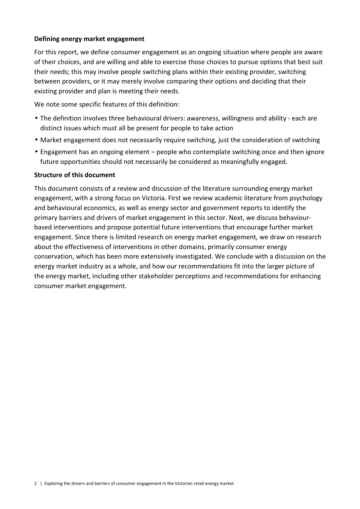### **Defining energy market engagement**

For this report, we define consumer engagement as an ongoing situation where people are aware of their choices, and are willing and able to exercise those choices to pursue options that best suit their needs; this may involve people switching plans within their existing provider, switching between providers, or it may merely involve comparing their options and deciding that their existing provider and plan is meeting their needs.

We note some specific features of this definition:

- The definition involves three behavioural drivers: awareness, willingness and ability each are distinct issues which must all be present for people to take action
- Market engagement does not necessarily require switching, just the consideration of switching
- Engagement has an ongoing element people who contemplate switching once and then ignore future opportunities should not necessarily be considered as meaningfully engaged*.*

#### **Structure of this document**

This document consists of a review and discussion of the literature surrounding energy market engagement, with a strong focus on Victoria. First we review academic literature from psychology and behavioural economics, as well as energy sector and government reports to identify the primary barriers and drivers of market engagement in this sector. Next, we discuss behaviourbased interventions and propose potential future interventions that encourage further market engagement. Since there is limited research on energy market engagement, we draw on research about the effectiveness of interventions in other domains, primarily consumer energy conservation, which has been more extensively investigated. We conclude with a discussion on the energy market industry as a whole, and how our recommendations fit into the larger picture of the energy market, including other stakeholder perceptions and recommendations for enhancing consumer market engagement.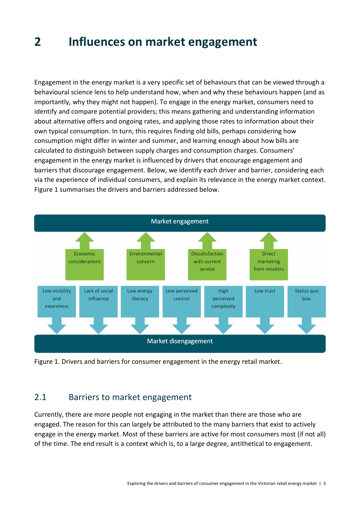## **2 Influences on market engagement**

Engagement in the energy market is a very specific set of behaviours that can be viewed through a behavioural science lens to help understand how, when and why these behaviours happen (and as importantly, why they might not happen). To engage in the energy market, consumers need to identify and compare potential providers; this means gathering and understanding information about alternative offers and ongoing rates, and applying those rates to information about their own typical consumption. In turn, this requires finding old bills, perhaps considering how consumption might differ in winter and summer, and learning enough about how bills are calculated to distinguish between supply charges and consumption charges. Consumers' engagement in the energy market is influenced by drivers that encourage engagement and barriers that discourage engagement. Below, we identify each driver and barrier, considering each via the experience of individual consumers, and explain its relevance in the energy market context. Figure 1 summarises the drivers and barriers addressed below.



Figure 1. Drivers and barriers for consumer engagement in the energy retail market.

## 2.1 Barriers to market engagement

Currently, there are more people not engaging in the market than there are those who are engaged. The reason for this can largely be attributed to the many barriers that exist to actively engage in the energy market. Most of these barriers are active for most consumers most (if not all) of the time. The end result is a context which is, to a large degree, antithetical to engagement.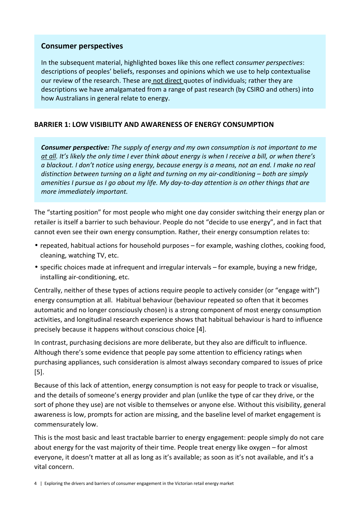## **Consumer perspectives**

In the subsequent material, highlighted boxes like this one reflect *consumer perspectives*: descriptions of peoples' beliefs, responses and opinions which we use to help contextualise our review of the research. These are not direct quotes of individuals; rather they are descriptions we have amalgamated from a range of past research (by CSIRO and others) into how Australians in general relate to energy.

## **BARRIER 1: LOW VISIBILITY AND AWARENESS OF ENERGY CONSUMPTION**

*Consumer perspective: The supply of energy and my own consumption is not important to me at all. It's likely the only time I ever think about energy is when I receive a bill, or when there's a blackout. I don't notice using energy, because energy is a means, not an end. I make no real distinction between turning on a light and turning on my air-conditioning – both are simply amenities I pursue as I go about my life. My day-to-day attention is on other things that are more immediately important.*

The "starting position" for most people who might one day consider switching their energy plan or retailer is itself a barrier to such behaviour. People do not "decide to use energy", and in fact that cannot even see their own energy consumption. Rather, their energy consumption relates to:

- repeated, habitual actions for household purposes for example, washing clothes, cooking food, cleaning, watching TV, etc.
- specific choices made at infrequent and irregular intervals for example, buying a new fridge, installing air-conditioning, etc.

Centrally, neither of these types of actions require people to actively consider (or "engage with") energy consumption at all. Habitual behaviour (behaviour repeated so often that it becomes automatic and no longer consciously chosen) is a strong component of most energy consumption activities, and longitudinal research experience shows that habitual behaviour is hard to influence precisely because it happens without conscious choice [4].

In contrast, purchasing decisions are more deliberate, but they also are difficult to influence. Although there's some evidence that people pay some attention to efficiency ratings when purchasing appliances, such consideration is almost always secondary compared to issues of price [5].

Because of this lack of attention, energy consumption is not easy for people to track or visualise, and the details of someone's energy provider and plan (unlike the type of car they drive, or the sort of phone they use) are not visible to themselves or anyone else. Without this visibility, general awareness is low, prompts for action are missing, and the baseline level of market engagement is commensurately low.

This is the most basic and least tractable barrier to energy engagement: people simply do not care about energy for the vast majority of their time. People treat energy like oxygen – for almost everyone, it doesn't matter at all as long as it's available; as soon as it's not available, and it's a vital concern.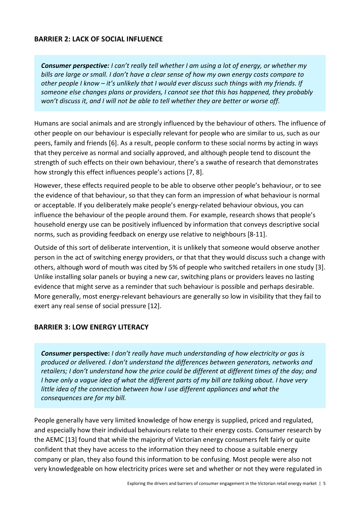## **BARRIER 2: LACK OF SOCIAL INFLUENCE**

*Consumer perspective: I can't really tell whether I am using a lot of energy, or whether my bills are large or small. I don't have a clear sense of how my own energy costs compare to other people I know – it's unlikely that I would ever discuss such things with my friends. If someone else changes plans or providers, I cannot see that this has happened, they probably won't discuss it, and I will not be able to tell whether they are better or worse off.*

Humans are social animals and are strongly influenced by the behaviour of others. The influence of other people on our behaviour is especially relevant for people who are similar to us, such as our peers, family and friends [6]. As a result, people conform to these social norms by acting in ways that they perceive as normal and socially approved, and although people tend to discount the strength of such effects on their own behaviour, there's a swathe of research that demonstrates how strongly this effect influences people's actions [7, 8].

However, these effects required people to be able to observe other people's behaviour, or to see the evidence of that behaviour, so that they can form an impression of what behaviour is normal or acceptable. If you deliberately make people's energy-related behaviour obvious, you can influence the behaviour of the people around them. For example, research shows that people's household energy use can be positively influenced by information that conveys descriptive social norms, such as providing feedback on energy use relative to neighbours [8-11].

Outside of this sort of deliberate intervention, it is unlikely that someone would observe another person in the act of switching energy providers, or that that they would discuss such a change with others, although word of mouth was cited by 5% of people who switched retailers in one study [3]. Unlike installing solar panels or buying a new car, switching plans or providers leaves no lasting evidence that might serve as a reminder that such behaviour is possible and perhaps desirable. More generally, most energy-relevant behaviours are generally so low in visibility that they fail to exert any real sense of social pressure [12].

### **BARRIER 3: LOW ENERGY LITERACY**

*Consumer* **perspective:** *I don't really have much understanding of how electricity or gas is produced or delivered. I don't understand the differences between generators, networks and retailers; I don't understand how the price could be different at different times of the day; and I have only a vague idea of what the different parts of my bill are talking about. I have very little idea of the connection between how I use different appliances and what the consequences are for my bill.*

People generally have very limited knowledge of how energy is supplied, priced and regulated, and especially how their individual behaviours relate to their energy costs. Consumer research by the AEMC [13] found that while the majority of Victorian energy consumers felt fairly or quite confident that they have access to the information they need to choose a suitable energy company or plan, they also found this information to be confusing. Most people were also not very knowledgeable on how electricity prices were set and whether or not they were regulated in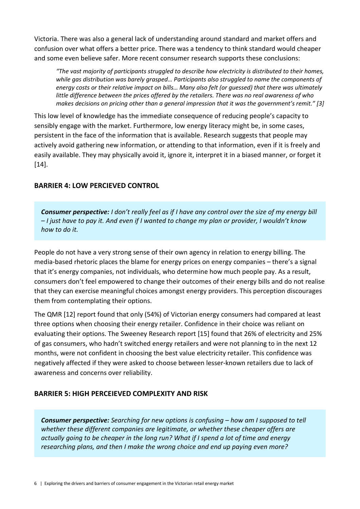Victoria. There was also a general lack of understanding around standard and market offers and confusion over what offers a better price. There was a tendency to think standard would cheaper and some even believe safer. More recent consumer research supports these conclusions:

*"The vast majority of participants struggled to describe how electricity is distributed to their homes, while gas distribution was barely grasped… Participants also struggled to name the components of energy costs or their relative impact on bills… Many also felt (or guessed) that there was ultimately little difference between the prices offered by the retailers. There was no real awareness of who makes decisions on pricing other than a general impression that it was the government's remit." [3]* 

This low level of knowledge has the immediate consequence of reducing people's capacity to sensibly engage with the market. Furthermore, low energy literacy might be, in some cases, persistent in the face of the information that is available. Research suggests that people may actively avoid gathering new information, or attending to that information, even if it is freely and easily available. They may physically avoid it, ignore it, interpret it in a biased manner, or forget it [14].

## **BARRIER 4: LOW PERCIEVED CONTROL**

*Consumer perspective: I don't really feel as if I have any control over the size of my energy bill – I just have to pay it. And even if I wanted to change my plan or provider, I wouldn't know how to do it.* 

People do not have a very strong sense of their own agency in relation to energy billing. The media-based rhetoric places the blame for energy prices on energy companies – there's a signal that it's energy companies, not individuals, who determine how much people pay. As a result, consumers don't feel empowered to change their outcomes of their energy bills and do not realise that they can exercise meaningful choices amongst energy providers. This perception discourages them from contemplating their options.

The QMR [12] report found that only (54%) of Victorian energy consumers had compared at least three options when choosing their energy retailer. Confidence in their choice was reliant on evaluating their options. The Sweeney Research report [15] found that 26% of electricity and 25% of gas consumers, who hadn't switched energy retailers and were not planning to in the next 12 months, were not confident in choosing the best value electricity retailer. This confidence was negatively affected if they were asked to choose between lesser-known retailers due to lack of awareness and concerns over reliability.

## **BARRIER 5: HIGH PERCEIEVED COMPLEXITY AND RISK**

*Consumer perspective: Searching for new options is confusing – how am I supposed to tell whether these different companies are legitimate, or whether these cheaper offers are actually going to be cheaper in the long run? What if I spend a lot of time and energy researching plans, and then I make the wrong choice and end up paying even more?*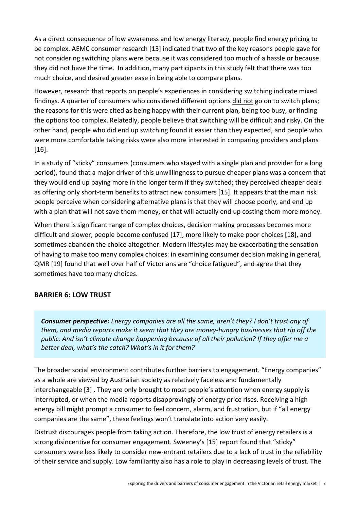As a direct consequence of low awareness and low energy literacy, people find energy pricing to be complex. AEMC consumer research [13] indicated that two of the key reasons people gave for not considering switching plans were because it was considered too much of a hassle or because they did not have the time. In addition, many participants in this study felt that there was too much choice, and desired greater ease in being able to compare plans.

However, research that reports on people's experiences in considering switching indicate mixed findings. A quarter of consumers who considered different options did not go on to switch plans; the reasons for this were cited as being happy with their current plan, being too busy, or finding the options too complex. Relatedly, people believe that switching will be difficult and risky. On the other hand, people who did end up switching found it easier than they expected, and people who were more comfortable taking risks were also more interested in comparing providers and plans [16].

In a study of "sticky" consumers (consumers who stayed with a single plan and provider for a long period), found that a major driver of this unwillingness to pursue cheaper plans was a concern that they would end up paying more in the longer term if they switched; they perceived cheaper deals as offering only short-term benefits to attract new consumers [15]. It appears that the main risk people perceive when considering alternative plans is that they will choose poorly, and end up with a plan that will not save them money, or that will actually end up costing them more money.

When there is significant range of complex choices, decision making processes becomes more difficult and slower, people become confused [17], more likely to make poor choices [18], and sometimes abandon the choice altogether. Modern lifestyles may be exacerbating the sensation of having to make too many complex choices: in examining consumer decision making in general, QMR [19] found that well over half of Victorians are "choice fatigued", and agree that they sometimes have too many choices.

## **BARRIER 6: LOW TRUST**

*Consumer perspective: Energy companies are all the same, aren't they? I don't trust any of them, and media reports make it seem that they are money-hungry businesses that rip off the public. And isn't climate change happening because of all their pollution? If they offer me a better deal, what's the catch? What's in it for them?*

The broader social environment contributes further barriers to engagement. "Energy companies" as a whole are viewed by Australian society as relatively faceless and fundamentally interchangeable [3] . They are only brought to most people's attention when energy supply is interrupted, or when the media reports disapprovingly of energy price rises. Receiving a high energy bill might prompt a consumer to feel concern, alarm, and frustration, but if "all energy companies are the same", these feelings won't translate into action very easily.

Distrust discourages people from taking action. Therefore, the low trust of energy retailers is a strong disincentive for consumer engagement. Sweeney's [15] report found that "sticky" consumers were less likely to consider new-entrant retailers due to a lack of trust in the reliability of their service and supply. Low familiarity also has a role to play in decreasing levels of trust. The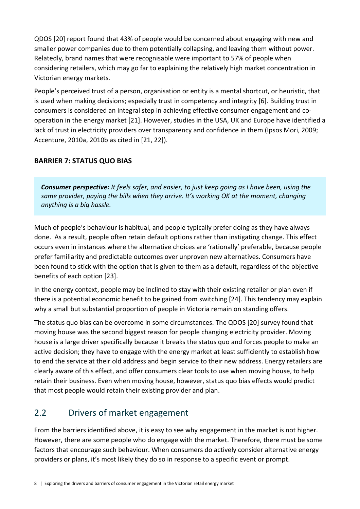QDOS [20] report found that 43% of people would be concerned about engaging with new and smaller power companies due to them potentially collapsing, and leaving them without power. Relatedly, brand names that were recognisable were important to 57% of people when considering retailers, which may go far to explaining the relatively high market concentration in Victorian energy markets.

People's perceived trust of a person, organisation or entity is a mental shortcut, or heuristic, that is used when making decisions; especially trust in competency and integrity [6]. Building trust in consumers is considered an integral step in achieving effective consumer engagement and cooperation in the energy market [21]. However, studies in the USA, UK and Europe have identified a lack of trust in electricity providers over transparency and confidence in them (Ipsos Mori, 2009; Accenture, 2010a, 2010b as cited in [21, 22]).

## **BARRIER 7: STATUS QUO BIAS**

*Consumer perspective: It feels safer, and easier, to just keep going as I have been, using the same provider, paying the bills when they arrive. It's working OK at the moment, changing anything is a big hassle.*

Much of people's behaviour is habitual, and people typically prefer doing as they have always done. As a result, people often retain default options rather than instigating change. This effect occurs even in instances where the alternative choices are 'rationally' preferable, because people prefer familiarity and predictable outcomes over unproven new alternatives. Consumers have been found to stick with the option that is given to them as a default, regardless of the objective benefits of each option [23].

In the energy context, people may be inclined to stay with their existing retailer or plan even if there is a potential economic benefit to be gained from switching [24]. This tendency may explain why a small but substantial proportion of people in Victoria remain on standing offers.

The status quo bias can be overcome in some circumstances. The QDOS [20] survey found that moving house was the second biggest reason for people changing electricity provider. Moving house is a large driver specifically because it breaks the status quo and forces people to make an active decision; they have to engage with the energy market at least sufficiently to establish how to end the service at their old address and begin service to their new address. Energy retailers are clearly aware of this effect, and offer consumers clear tools to use when moving house, to help retain their business. Even when moving house, however, status quo bias effects would predict that most people would retain their existing provider and plan.

## 2.2 Drivers of market engagement

From the barriers identified above, it is easy to see why engagement in the market is not higher. However, there are some people who do engage with the market. Therefore, there must be some factors that encourage such behaviour. When consumers do actively consider alternative energy providers or plans, it's most likely they do so in response to a specific event or prompt.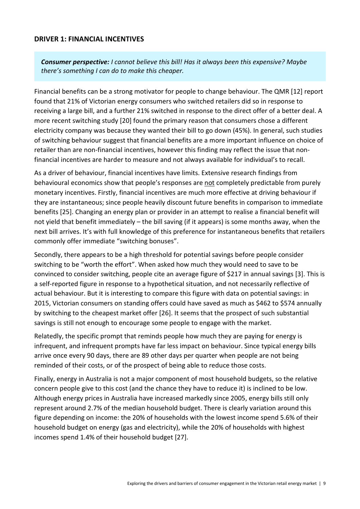### **DRIVER 1: FINANCIAL INCENTIVES**

*Consumer perspective: I cannot believe this bill! Has it always been this expensive? Maybe there's something I can do to make this cheaper.*

Financial benefits can be a strong motivator for people to change behaviour. The QMR [12] report found that 21% of Victorian energy consumers who switched retailers did so in response to receiving a large bill, and a further 21% switched in response to the direct offer of a better deal. A more recent switching study [20] found the primary reason that consumers chose a different electricity company was because they wanted their bill to go down (45%). In general, such studies of switching behaviour suggest that financial benefits are a more important influence on choice of retailer than are non-financial incentives, however this finding may reflect the issue that nonfinancial incentives are harder to measure and not always available for individual's to recall.

As a driver of behaviour, financial incentives have limits. Extensive research findings from behavioural economics show that people's responses are not completely predictable from purely monetary incentives. Firstly, financial incentives are much more effective at driving behaviour if they are instantaneous; since people heavily discount future benefits in comparison to immediate benefits [25]. Changing an energy plan or provider in an attempt to realise a financial benefit will not yield that benefit immediately – the bill saving (if it appears) is some months away, when the next bill arrives. It's with full knowledge of this preference for instantaneous benefits that retailers commonly offer immediate "switching bonuses".

Secondly, there appears to be a high threshold for potential savings before people consider switching to be "worth the effort". When asked how much they would need to save to be convinced to consider switching, people cite an average figure of \$217 in annual savings [3]. This is a self-reported figure in response to a hypothetical situation, and not necessarily reflective of actual behaviour. But it is interesting to compare this figure with data on potential savings: in 2015, Victorian consumers on standing offers could have saved as much as \$462 to \$574 annually by switching to the cheapest market offer [26]. It seems that the prospect of such substantial savings is still not enough to encourage some people to engage with the market.

Relatedly, the specific prompt that reminds people how much they are paying for energy is infrequent, and infrequent prompts have far less impact on behaviour. Since typical energy bills arrive once every 90 days, there are 89 other days per quarter when people are not being reminded of their costs, or of the prospect of being able to reduce those costs.

Finally, energy in Australia is not a major component of most household budgets, so the relative concern people give to this cost (and the chance they have to reduce it) is inclined to be low. Although energy prices in Australia have increased markedly since 2005, energy bills still only represent around 2.7% of the median household budget. There is clearly variation around this figure depending on income: the 20% of households with the lowest income spend 5.6% of their household budget on energy (gas and electricity), while the 20% of households with highest incomes spend 1.4% of their household budget [27].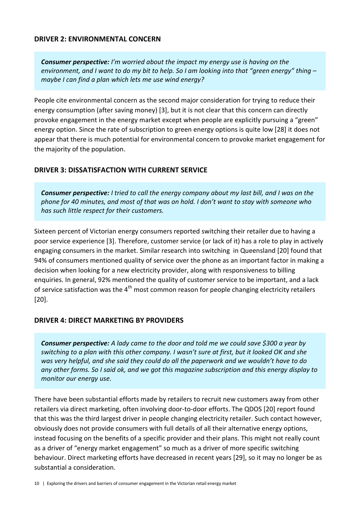### **DRIVER 2: ENVIRONMENTAL CONCERN**

*Consumer perspective: I'm worried about the impact my energy use is having on the environment, and I want to do my bit to help. So I am looking into that "green energy" thing – maybe I can find a plan which lets me use wind energy?*

People cite environmental concern as the second major consideration for trying to reduce their energy consumption (after saving money) [3], but it is not clear that this concern can directly provoke engagement in the energy market except when people are explicitly pursuing a "green" energy option. Since the rate of subscription to green energy options is quite low [28] it does not appear that there is much potential for environmental concern to provoke market engagement for the majority of the population.

### **DRIVER 3: DISSATISFACTION WITH CURRENT SERVICE**

*Consumer perspective: I tried to call the energy company about my last bill, and I was on the phone for 40 minutes, and most of that was on hold. I don't want to stay with someone who has such little respect for their customers.*

Sixteen percent of Victorian energy consumers reported switching their retailer due to having a poor service experience [3]. Therefore, customer service (or lack of it) has a role to play in actively engaging consumers in the market. Similar research into switching in Queensland [20] found that 94% of consumers mentioned quality of service over the phone as an important factor in making a decision when looking for a new electricity provider, along with responsiveness to billing enquiries. In general, 92% mentioned the quality of customer service to be important, and a lack of service satisfaction was the 4<sup>th</sup> most common reason for people changing electricity retailers [20].

#### **DRIVER 4: DIRECT MARKETING BY PROVIDERS**

*Consumer perspective: A lady came to the door and told me we could save \$300 a year by switching to a plan with this other company. I wasn't sure at first, but it looked OK and she was very helpful, and she said they could do all the paperwork and we wouldn't have to do any other forms. So I said ok, and we got this magazine subscription and this energy display to monitor our energy use.*

There have been substantial efforts made by retailers to recruit new customers away from other retailers via direct marketing, often involving door-to-door efforts. The QDOS [20] report found that this was the third largest driver in people changing electricity retailer. Such contact however, obviously does not provide consumers with full details of all their alternative energy options, instead focusing on the benefits of a specific provider and their plans. This might not really count as a driver of "energy market engagement" so much as a driver of more specific switching behaviour. Direct marketing efforts have decreased in recent years [29], so it may no longer be as substantial a consideration.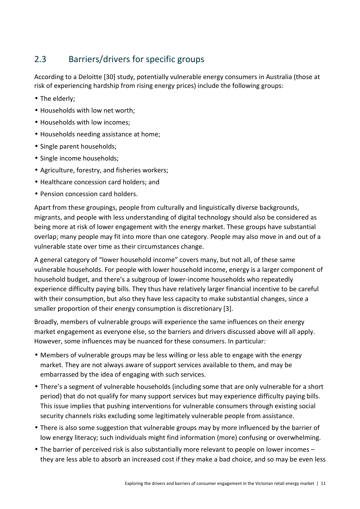## 2.3 Barriers/drivers for specific groups

According to a Deloitte [30] study, potentially vulnerable energy consumers in Australia (those at risk of experiencing hardship from rising energy prices) include the following groups:

- The elderly;
- Households with low net worth;
- Households with low incomes;
- Households needing assistance at home;
- Single parent households;
- Single income households;
- Agriculture, forestry, and fisheries workers;
- Healthcare concession card holders; and
- Pension concession card holders.

Apart from these groupings, people from culturally and linguistically diverse backgrounds, migrants, and people with less understanding of digital technology should also be considered as being more at risk of lower engagement with the energy market. These groups have substantial overlap; many people may fit into more than one category. People may also move in and out of a vulnerable state over time as their circumstances change.

A general category of "lower household income" covers many, but not all, of these same vulnerable households. For people with lower household income, energy is a larger component of household budget, and there's a subgroup of lower-income households who repeatedly experience difficulty paying bills. They thus have relatively larger financial incentive to be careful with their consumption, but also they have less capacity to make substantial changes, since a smaller proportion of their energy consumption is discretionary [3].

Broadly, members of vulnerable groups will experience the same influences on their energy market engagement as everyone else, so the barriers and drivers discussed above will all apply. However, some influences may be nuanced for these consumers. In particular:

- Members of vulnerable groups may be less willing or less able to engage with the energy market. They are not always aware of support services available to them, and may be embarrassed by the idea of engaging with such services.
- There's a segment of vulnerable households (including some that are only vulnerable for a short period) that do not qualify for many support services but may experience difficulty paying bills. This issue implies that pushing interventions for vulnerable consumers through existing social security channels risks excluding some legitimately vulnerable people from assistance.
- There is also some suggestion that vulnerable groups may by more influenced by the barrier of low energy literacy; such individuals might find information (more) confusing or overwhelming.
- The barrier of perceived risk is also substantially more relevant to people on lower incomes they are less able to absorb an increased cost if they make a bad choice, and so may be even less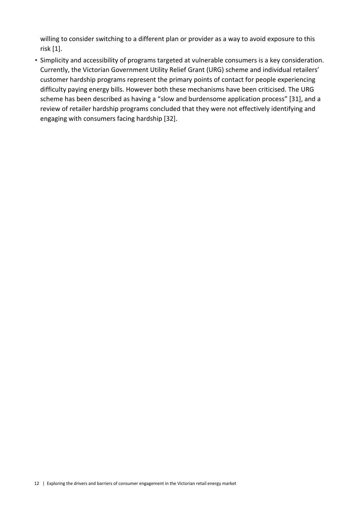willing to consider switching to a different plan or provider as a way to avoid exposure to this risk [1].

• Simplicity and accessibility of programs targeted at vulnerable consumers is a key consideration. Currently, the Victorian Government Utility Relief Grant (URG) scheme and individual retailers' customer hardship programs represent the primary points of contact for people experiencing difficulty paying energy bills. However both these mechanisms have been criticised. The URG scheme has been described as having a "slow and burdensome application process" [31], and a review of retailer hardship programs concluded that they were not effectively identifying and engaging with consumers facing hardship [32].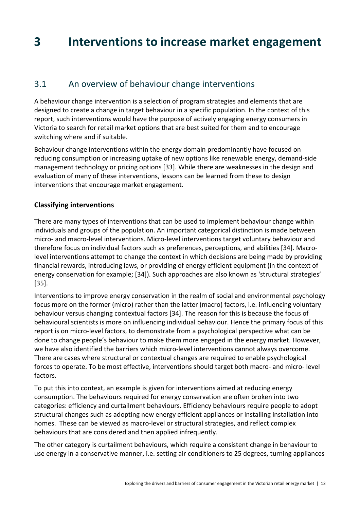## **3 Interventions to increase market engagement**

## 3.1 An overview of behaviour change interventions

A behaviour change intervention is a selection of program strategies and elements that are designed to create a change in target behaviour in a specific population. In the context of this report, such interventions would have the purpose of actively engaging energy consumers in Victoria to search for retail market options that are best suited for them and to encourage switching where and if suitable.

Behaviour change interventions within the energy domain predominantly have focused on reducing consumption or increasing uptake of new options like renewable energy, demand-side management technology or pricing options [33]. While there are weaknesses in the design and evaluation of many of these interventions, lessons can be learned from these to design interventions that encourage market engagement.

## **Classifying interventions**

There are many types of interventions that can be used to implement behaviour change within individuals and groups of the population. An important categorical distinction is made between micro- and macro-level interventions. Micro-level interventions target voluntary behaviour and therefore focus on individual factors such as preferences, perceptions, and abilities [34]. Macrolevel interventions attempt to change the context in which decisions are being made by providing financial rewards, introducing laws, or providing of energy efficient equipment (in the context of energy conservation for example; [34]). Such approaches are also known as 'structural strategies' [35].

Interventions to improve energy conservation in the realm of social and environmental psychology focus more on the former (micro) rather than the latter (macro) factors, i.e. influencing voluntary behaviour versus changing contextual factors [34]. The reason for this is because the focus of behavioural scientists is more on influencing individual behaviour. Hence the primary focus of this report is on micro-level factors, to demonstrate from a psychological perspective what can be done to change people's behaviour to make them more engaged in the energy market. However, we have also identified the barriers which micro-level interventions cannot always overcome. There are cases where structural or contextual changes are required to enable psychological forces to operate. To be most effective, interventions should target both macro- and micro- level factors.

To put this into context, an example is given for interventions aimed at reducing energy consumption. The behaviours required for energy conservation are often broken into two categories: efficiency and curtailment behaviours. Efficiency behaviours require people to adopt structural changes such as adopting new energy efficient appliances or installing installation into homes. These can be viewed as macro-level or structural strategies, and reflect complex behaviours that are considered and then applied infrequently.

The other category is curtailment behaviours, which require a consistent change in behaviour to use energy in a conservative manner, i.e. setting air conditioners to 25 degrees, turning appliances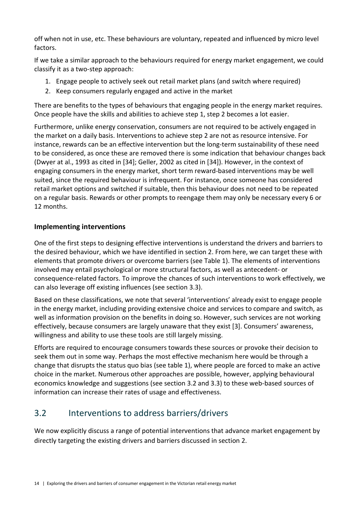off when not in use, etc. These behaviours are voluntary, repeated and influenced by micro level factors.

If we take a similar approach to the behaviours required for energy market engagement, we could classify it as a two-step approach:

- 1. Engage people to actively seek out retail market plans (and switch where required)
- 2. Keep consumers regularly engaged and active in the market

There are benefits to the types of behaviours that engaging people in the energy market requires. Once people have the skills and abilities to achieve step 1, step 2 becomes a lot easier.

Furthermore, unlike energy conservation, consumers are not required to be actively engaged in the market on a daily basis. Interventions to achieve step 2 are not as resource intensive. For instance, rewards can be an effective intervention but the long-term sustainability of these need to be considered, as once these are removed there is some indication that behaviour changes back (Dwyer at al., 1993 as cited in [34]; Geller, 2002 as cited in [34]). However, in the context of engaging consumers in the energy market, short term reward-based interventions may be well suited, since the required behaviour is infrequent. For instance, once someone has considered retail market options and switched if suitable, then this behaviour does not need to be repeated on a regular basis. Rewards or other prompts to reengage them may only be necessary every 6 or 12 months.

## **Implementing interventions**

One of the first steps to designing effective interventions is understand the drivers and barriers to the desired behaviour, which we have identified in section 2. From here, we can target these with elements that promote drivers or overcome barriers (see Table 1). The elements of interventions involved may entail psychological or more structural factors, as well as antecedent- or consequence-related factors. To improve the chances of such interventions to work effectively, we can also leverage off existing influences (see section 3.3).

Based on these classifications, we note that several 'interventions' already exist to engage people in the energy market, including providing extensive choice and services to compare and switch, as well as information provision on the benefits in doing so. However, such services are not working effectively, because consumers are largely unaware that they exist [3]. Consumers' awareness, willingness and ability to use these tools are still largely missing.

Efforts are required to encourage consumers towards these sources or provoke their decision to seek them out in some way. Perhaps the most effective mechanism here would be through a change that disrupts the status quo bias (see table 1), where people are forced to make an active choice in the market. Numerous other approaches are possible, however, applying behavioural economics knowledge and suggestions (see section 3.2 and 3.3) to these web-based sources of information can increase their rates of usage and effectiveness.

## 3.2 Interventions to address barriers/drivers

We now explicitly discuss a range of potential interventions that advance market engagement by directly targeting the existing drivers and barriers discussed in section 2.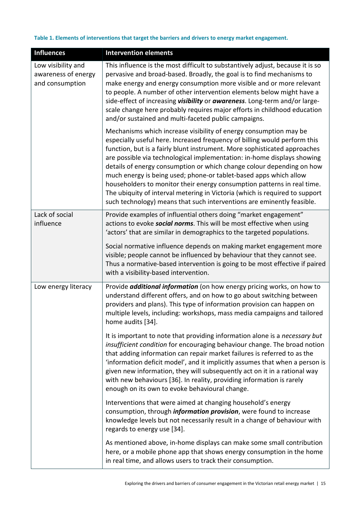#### **Table 1. Elements of interventions that target the barriers and drivers to energy market engagement.**

| <b>Influences</b>                                            | <b>Intervention elements</b>                                                                                                                                                                                                                                                                                                                                                                                                                                                                                                                                                                                                                                                             |
|--------------------------------------------------------------|------------------------------------------------------------------------------------------------------------------------------------------------------------------------------------------------------------------------------------------------------------------------------------------------------------------------------------------------------------------------------------------------------------------------------------------------------------------------------------------------------------------------------------------------------------------------------------------------------------------------------------------------------------------------------------------|
| Low visibility and<br>awareness of energy<br>and consumption | This influence is the most difficult to substantively adjust, because it is so<br>pervasive and broad-based. Broadly, the goal is to find mechanisms to<br>make energy and energy consumption more visible and or more relevant<br>to people. A number of other intervention elements below might have a<br>side-effect of increasing visibility or awareness. Long-term and/or large-<br>scale change here probably requires major efforts in childhood education<br>and/or sustained and multi-faceted public campaigns.                                                                                                                                                               |
|                                                              | Mechanisms which increase visibility of energy consumption may be<br>especially useful here. Increased frequency of billing would perform this<br>function, but is a fairly blunt instrument. More sophisticated approaches<br>are possible via technological implementation: in-home displays showing<br>details of energy consumption or which change colour depending on how<br>much energy is being used; phone-or tablet-based apps which allow<br>householders to monitor their energy consumption patterns in real time.<br>The ubiquity of interval metering in Victoria (which is required to support<br>such technology) means that such interventions are eminently feasible. |
| Lack of social<br>influence                                  | Provide examples of influential others doing "market engagement"<br>actions to evoke social norms. This will be most effective when using<br>'actors' that are similar in demographics to the targeted populations.                                                                                                                                                                                                                                                                                                                                                                                                                                                                      |
|                                                              | Social normative influence depends on making market engagement more<br>visible; people cannot be influenced by behaviour that they cannot see.<br>Thus a normative-based intervention is going to be most effective if paired<br>with a visibility-based intervention.                                                                                                                                                                                                                                                                                                                                                                                                                   |
| Low energy literacy                                          | Provide <i>additional information</i> (on how energy pricing works, on how to<br>understand different offers, and on how to go about switching between<br>providers and plans). This type of information provision can happen on<br>multiple levels, including: workshops, mass media campaigns and tailored<br>home audits [34].                                                                                                                                                                                                                                                                                                                                                        |
|                                                              | It is important to note that providing information alone is a necessary but<br>insufficient condition for encouraging behaviour change. The broad notion<br>that adding information can repair market failures is referred to as the<br>'information deficit model', and it implicitly assumes that when a person is<br>given new information, they will subsequently act on it in a rational way<br>with new behaviours [36]. In reality, providing information is rarely<br>enough on its own to evoke behavioural change.                                                                                                                                                             |
|                                                              | Interventions that were aimed at changing household's energy<br>consumption, through <i>information provision</i> , were found to increase<br>knowledge levels but not necessarily result in a change of behaviour with<br>regards to energy use [34].                                                                                                                                                                                                                                                                                                                                                                                                                                   |
|                                                              | As mentioned above, in-home displays can make some small contribution<br>here, or a mobile phone app that shows energy consumption in the home<br>in real time, and allows users to track their consumption.                                                                                                                                                                                                                                                                                                                                                                                                                                                                             |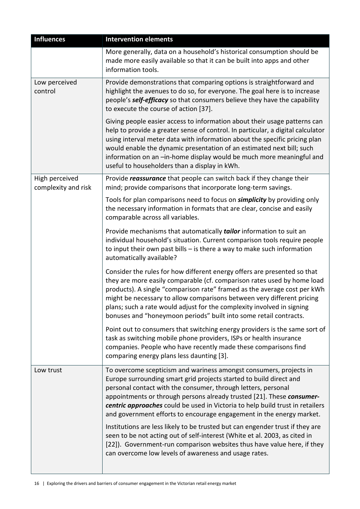| <b>Influences</b>                     | <b>Intervention elements</b>                                                                                                                                                                                                                                                                                                                                                                                                                             |
|---------------------------------------|----------------------------------------------------------------------------------------------------------------------------------------------------------------------------------------------------------------------------------------------------------------------------------------------------------------------------------------------------------------------------------------------------------------------------------------------------------|
|                                       | More generally, data on a household's historical consumption should be<br>made more easily available so that it can be built into apps and other<br>information tools.                                                                                                                                                                                                                                                                                   |
| Low perceived<br>control              | Provide demonstrations that comparing options is straightforward and<br>highlight the avenues to do so, for everyone. The goal here is to increase<br>people's self-efficacy so that consumers believe they have the capability<br>to execute the course of action [37].                                                                                                                                                                                 |
|                                       | Giving people easier access to information about their usage patterns can<br>help to provide a greater sense of control. In particular, a digital calculator<br>using interval meter data with information about the specific pricing plan<br>would enable the dynamic presentation of an estimated next bill; such<br>information on an -in-home display would be much more meaningful and<br>useful to householders than a display in kWh.             |
| High perceived<br>complexity and risk | Provide reassurance that people can switch back if they change their<br>mind; provide comparisons that incorporate long-term savings.                                                                                                                                                                                                                                                                                                                    |
|                                       | Tools for plan comparisons need to focus on <b>simplicity</b> by providing only<br>the necessary information in formats that are clear, concise and easily<br>comparable across all variables.                                                                                                                                                                                                                                                           |
|                                       | Provide mechanisms that automatically tailor information to suit an<br>individual household's situation. Current comparison tools require people<br>to input their own past bills $-$ is there a way to make such information<br>automatically available?                                                                                                                                                                                                |
|                                       | Consider the rules for how different energy offers are presented so that<br>they are more easily comparable (cf. comparison rates used by home load<br>products). A single "comparison rate" framed as the average cost per kWh<br>might be necessary to allow comparisons between very different pricing<br>plans; such a rate would adjust for the complexity involved in signing<br>bonuses and "honeymoon periods" built into some retail contracts. |
|                                       | Point out to consumers that switching energy providers is the same sort of<br>task as switching mobile phone providers, ISPs or health insurance<br>companies. People who have recently made these comparisons find<br>comparing energy plans less daunting [3].                                                                                                                                                                                         |
| Low trust                             | To overcome scepticism and wariness amongst consumers, projects in<br>Europe surrounding smart grid projects started to build direct and<br>personal contact with the consumer, through letters, personal<br>appointments or through persons already trusted [21]. These consumer-<br>centric approaches could be used in Victoria to help build trust in retailers<br>and government efforts to encourage engagement in the energy market.              |
|                                       | Institutions are less likely to be trusted but can engender trust if they are<br>seen to be not acting out of self-interest (White et al. 2003, as cited in<br>[22]). Government-run comparison websites thus have value here, if they<br>can overcome low levels of awareness and usage rates.                                                                                                                                                          |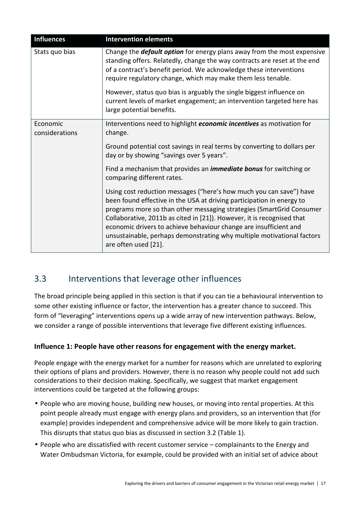| <b>Influences</b>          | <b>Intervention elements</b>                                                                                                                                                                                                                                                                                                                                                                                                                                                     |
|----------------------------|----------------------------------------------------------------------------------------------------------------------------------------------------------------------------------------------------------------------------------------------------------------------------------------------------------------------------------------------------------------------------------------------------------------------------------------------------------------------------------|
| Stats quo bias             | Change the <b>default option</b> for energy plans away from the most expensive<br>standing offers. Relatedly, change the way contracts are reset at the end<br>of a contract's benefit period. We acknowledge these interventions<br>require regulatory change, which may make them less tenable.<br>However, status quo bias is arguably the single biggest influence on<br>current levels of market engagement; an intervention targeted here has<br>large potential benefits. |
| Economic<br>considerations | Interventions need to highlight economic incentives as motivation for<br>change.                                                                                                                                                                                                                                                                                                                                                                                                 |
|                            | Ground potential cost savings in real terms by converting to dollars per<br>day or by showing "savings over 5 years".                                                                                                                                                                                                                                                                                                                                                            |
|                            | Find a mechanism that provides an <i>immediate bonus</i> for switching or<br>comparing different rates.                                                                                                                                                                                                                                                                                                                                                                          |
|                            | Using cost reduction messages ("here's how much you can save") have<br>been found effective in the USA at driving participation in energy to<br>programs more so than other messaging strategies (SmartGrid Consumer<br>Collaborative, 2011b as cited in [21]). However, it is recognised that<br>economic drivers to achieve behaviour change are insufficient and<br>unsustainable, perhaps demonstrating why multiple motivational factors<br>are often used [21].            |

## 3.3 Interventions that leverage other influences

The broad principle being applied in this section is that if you can tie a behavioural intervention to some other existing influence or factor, the intervention has a greater chance to succeed. This form of "leveraging" interventions opens up a wide array of new intervention pathways. Below, we consider a range of possible interventions that leverage five different existing influences.

## **Influence 1: People have other reasons for engagement with the energy market.**

People engage with the energy market for a number for reasons which are unrelated to exploring their options of plans and providers. However, there is no reason why people could not add such considerations to their decision making. Specifically, we suggest that market engagement interventions could be targeted at the following groups:

- People who are moving house, building new houses, or moving into rental properties. At this point people already must engage with energy plans and providers, so an intervention that (for example) provides independent and comprehensive advice will be more likely to gain traction. This disrupts that status quo bias as discussed in section 3.2 (Table 1).
- People who are dissatisfied with recent customer service complainants to the Energy and Water Ombudsman Victoria, for example, could be provided with an initial set of advice about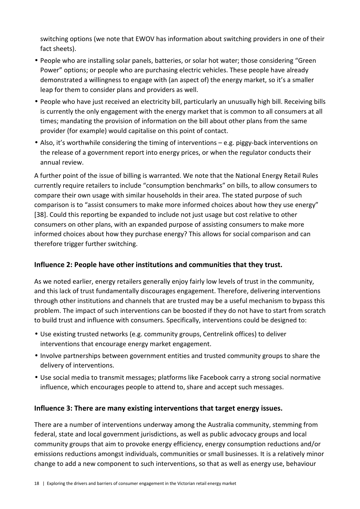switching options (we note that EWOV has information about switching providers in one of their fact sheets).

- People who are installing solar panels, batteries, or solar hot water; those considering "Green Power" options; or people who are purchasing electric vehicles. These people have already demonstrated a willingness to engage with (an aspect of) the energy market, so it's a smaller leap for them to consider plans and providers as well.
- People who have just received an electricity bill, particularly an unusually high bill. Receiving bills is currently the only engagement with the energy market that is common to all consumers at all times; mandating the provision of information on the bill about other plans from the same provider (for example) would capitalise on this point of contact.
- Also, it's worthwhile considering the timing of interventions e.g. piggy-back interventions on the release of a government report into energy prices, or when the regulator conducts their annual review.

A further point of the issue of billing is warranted. We note that the National Energy Retail Rules currently require retailers to include "consumption benchmarks" on bills, to allow consumers to compare their own usage with similar households in their area. The stated purpose of such comparison is to "assist consumers to make more informed choices about how they use energy" [38]. Could this reporting be expanded to include not just usage but cost relative to other consumers on other plans, with an expanded purpose of assisting consumers to make more informed choices about how they purchase energy? This allows for social comparison and can therefore trigger further switching.

## **Influence 2: People have other institutions and communities that they trust.**

As we noted earlier, energy retailers generally enjoy fairly low levels of trust in the community, and this lack of trust fundamentally discourages engagement. Therefore, delivering interventions through other institutions and channels that are trusted may be a useful mechanism to bypass this problem. The impact of such interventions can be boosted if they do not have to start from scratch to build trust and influence with consumers. Specifically, interventions could be designed to:

- Use existing trusted networks (e.g. community groups, Centrelink offices) to deliver interventions that encourage energy market engagement.
- Involve partnerships between government entities and trusted community groups to share the delivery of interventions.
- Use social media to transmit messages; platforms like Facebook carry a strong social normative influence, which encourages people to attend to, share and accept such messages.

## **Influence 3: There are many existing interventions that target energy issues.**

There are a number of interventions underway among the Australia community, stemming from federal, state and local government jurisdictions, as well as public advocacy groups and local community groups that aim to provoke energy efficiency, energy consumption reductions and/or emissions reductions amongst individuals, communities or small businesses. It is a relatively minor change to add a new component to such interventions, so that as well as energy use, behaviour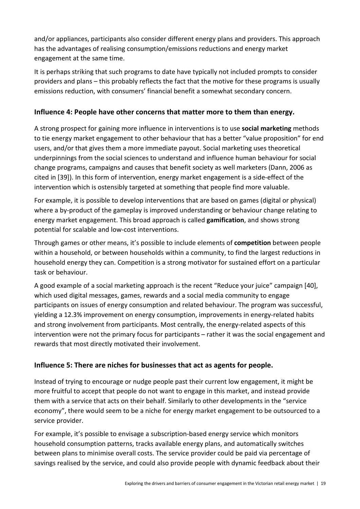and/or appliances, participants also consider different energy plans and providers. This approach has the advantages of realising consumption/emissions reductions and energy market engagement at the same time.

It is perhaps striking that such programs to date have typically not included prompts to consider providers and plans – this probably reflects the fact that the motive for these programs is usually emissions reduction, with consumers' financial benefit a somewhat secondary concern.

## **Influence 4: People have other concerns that matter more to them than energy.**

A strong prospect for gaining more influence in interventions is to use **social marketing** methods to tie energy market engagement to other behaviour that has a better "value proposition" for end users, and/or that gives them a more immediate payout. Social marketing uses theoretical underpinnings from the social sciences to understand and influence human behaviour for social change programs, campaigns and causes that benefit society as well marketers (Dann, 2006 as cited in [39]). In this form of intervention, energy market engagement is a side-effect of the intervention which is ostensibly targeted at something that people find more valuable.

For example, it is possible to develop interventions that are based on games (digital or physical) where a by-product of the gameplay is improved understanding or behaviour change relating to energy market engagement. This broad approach is called **gamification**, and shows strong potential for scalable and low-cost interventions.

Through games or other means, it's possible to include elements of **competition** between people within a household, or between households within a community, to find the largest reductions in household energy they can. Competition is a strong motivator for sustained effort on a particular task or behaviour.

A good example of a social marketing approach is the recent "Reduce your juice" campaign [40], which used digital messages, games, rewards and a social media community to engage participants on issues of energy consumption and related behaviour. The program was successful, yielding a 12.3% improvement on energy consumption, improvements in energy-related habits and strong involvement from participants. Most centrally, the energy-related aspects of this intervention were not the primary focus for participants – rather it was the social engagement and rewards that most directly motivated their involvement.

## **Influence 5: There are niches for businesses that act as agents for people.**

Instead of trying to encourage or nudge people past their current low engagement, it might be more fruitful to accept that people do not want to engage in this market, and instead provide them with a service that acts on their behalf. Similarly to other developments in the "service economy", there would seem to be a niche for energy market engagement to be outsourced to a service provider.

For example, it's possible to envisage a subscription-based energy service which monitors household consumption patterns, tracks available energy plans, and automatically switches between plans to minimise overall costs. The service provider could be paid via percentage of savings realised by the service, and could also provide people with dynamic feedback about their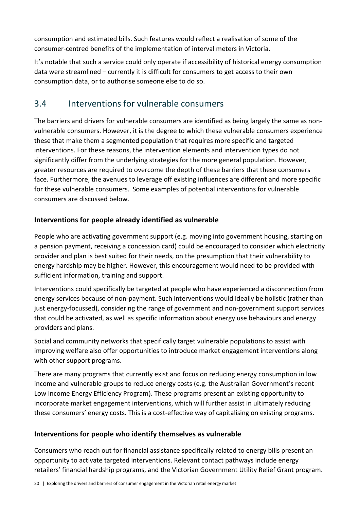consumption and estimated bills. Such features would reflect a realisation of some of the consumer-centred benefits of the implementation of interval meters in Victoria.

It's notable that such a service could only operate if accessibility of historical energy consumption data were streamlined – currently it is difficult for consumers to get access to their own consumption data, or to authorise someone else to do so.

## 3.4 Interventions for vulnerable consumers

The barriers and drivers for vulnerable consumers are identified as being largely the same as nonvulnerable consumers. However, it is the degree to which these vulnerable consumers experience these that make them a segmented population that requires more specific and targeted interventions. For these reasons, the intervention elements and intervention types do not significantly differ from the underlying strategies for the more general population. However, greater resources are required to overcome the depth of these barriers that these consumers face. Furthermore, the avenues to leverage off existing influences are different and more specific for these vulnerable consumers. Some examples of potential interventions for vulnerable consumers are discussed below.

## **Interventions for people already identified as vulnerable**

People who are activating government support (e.g. moving into government housing, starting on a pension payment, receiving a concession card) could be encouraged to consider which electricity provider and plan is best suited for their needs, on the presumption that their vulnerability to energy hardship may be higher. However, this encouragement would need to be provided with sufficient information, training and support.

Interventions could specifically be targeted at people who have experienced a disconnection from energy services because of non-payment. Such interventions would ideally be holistic (rather than just energy-focussed), considering the range of government and non-government support services that could be activated, as well as specific information about energy use behaviours and energy providers and plans.

Social and community networks that specifically target vulnerable populations to assist with improving welfare also offer opportunities to introduce market engagement interventions along with other support programs.

There are many programs that currently exist and focus on reducing energy consumption in low income and vulnerable groups to reduce energy costs (e.g. the Australian Government's recent Low Income Energy Efficiency Program). These programs present an existing opportunity to incorporate market engagement interventions, which will further assist in ultimately reducing these consumers' energy costs. This is a cost-effective way of capitalising on existing programs.

## **Interventions for people who identify themselves as vulnerable**

Consumers who reach out for financial assistance specifically related to energy bills present an opportunity to activate targeted interventions. Relevant contact pathways include energy retailers' financial hardship programs, and the Victorian Government Utility Relief Grant program.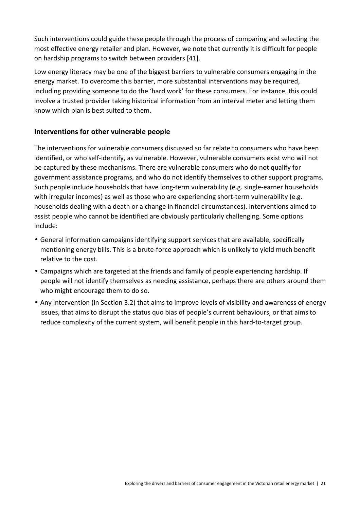Such interventions could guide these people through the process of comparing and selecting the most effective energy retailer and plan. However, we note that currently it is difficult for people on hardship programs to switch between providers [41].

Low energy literacy may be one of the biggest barriers to vulnerable consumers engaging in the energy market. To overcome this barrier, more substantial interventions may be required, including providing someone to do the 'hard work' for these consumers. For instance, this could involve a trusted provider taking historical information from an interval meter and letting them know which plan is best suited to them.

## **Interventions for other vulnerable people**

The interventions for vulnerable consumers discussed so far relate to consumers who have been identified, or who self-identify, as vulnerable. However, vulnerable consumers exist who will not be captured by these mechanisms. There are vulnerable consumers who do not qualify for government assistance programs, and who do not identify themselves to other support programs. Such people include households that have long-term vulnerability (e.g. single-earner households with irregular incomes) as well as those who are experiencing short-term vulnerability (e.g. households dealing with a death or a change in financial circumstances). Interventions aimed to assist people who cannot be identified are obviously particularly challenging. Some options include:

- General information campaigns identifying support services that are available, specifically mentioning energy bills. This is a brute-force approach which is unlikely to yield much benefit relative to the cost.
- Campaigns which are targeted at the friends and family of people experiencing hardship. If people will not identify themselves as needing assistance, perhaps there are others around them who might encourage them to do so.
- Any intervention (in Section 3.2) that aims to improve levels of visibility and awareness of energy issues, that aims to disrupt the status quo bias of people's current behaviours, or that aims to reduce complexity of the current system, will benefit people in this hard-to-target group.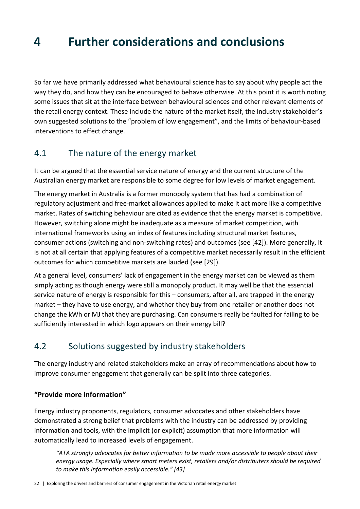## **4 Further considerations and conclusions**

So far we have primarily addressed what behavioural science has to say about why people act the way they do, and how they can be encouraged to behave otherwise. At this point it is worth noting some issues that sit at the interface between behavioural sciences and other relevant elements of the retail energy context. These include the nature of the market itself, the industry stakeholder's own suggested solutions to the "problem of low engagement", and the limits of behaviour-based interventions to effect change.

## 4.1 The nature of the energy market

It can be argued that the essential service nature of energy and the current structure of the Australian energy market are responsible to some degree for low levels of market engagement.

The energy market in Australia is a former monopoly system that has had a combination of regulatory adjustment and free-market allowances applied to make it act more like a competitive market. Rates of switching behaviour are cited as evidence that the energy market is competitive. However, switching alone might be inadequate as a measure of market competition, with international frameworks using an index of features including structural market features, consumer actions (switching and non-switching rates) and outcomes (see [42]). More generally, it is not at all certain that applying features of a competitive market necessarily result in the efficient outcomes for which competitive markets are lauded (see [29]).

At a general level, consumers' lack of engagement in the energy market can be viewed as them simply acting as though energy were still a monopoly product. It may well be that the essential service nature of energy is responsible for this – consumers, after all, are trapped in the energy market – they have to use energy, and whether they buy from one retailer or another does not change the kWh or MJ that they are purchasing. Can consumers really be faulted for failing to be sufficiently interested in which logo appears on their energy bill?

## 4.2 Solutions suggested by industry stakeholders

The energy industry and related stakeholders make an array of recommendations about how to improve consumer engagement that generally can be split into three categories.

## **"Provide more information"**

Energy industry proponents, regulators, consumer advocates and other stakeholders have demonstrated a strong belief that problems with the industry can be addressed by providing information and tools, with the implicit (or explicit) assumption that more information will automatically lead to increased levels of engagement.

*"ATA strongly advocates for better information to be made more accessible to people about their energy usage. Especially where smart meters exist, retailers and/or distributers should be required to make this information easily accessible." [43]*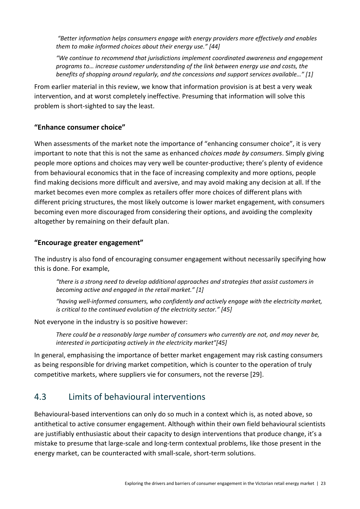*"Better information helps consumers engage with energy providers more effectively and enables them to make informed choices about their energy use." [44]* 

*"We continue to recommend that jurisdictions implement coordinated awareness and engagement programs to… increase customer understanding of the link between energy use and costs, the benefits of shopping around regularly, and the concessions and support services available…" [1]* 

From earlier material in this review, we know that information provision is at best a very weak intervention, and at worst completely ineffective. Presuming that information will solve this problem is short-sighted to say the least.

## **"Enhance consumer choice"**

When assessments of the market note the importance of "enhancing consumer choice", it is very important to note that this is not the same as enhanced *choices made by consumers*. Simply giving people more options and choices may very well be counter-productive; there's plenty of evidence from behavioural economics that in the face of increasing complexity and more options, people find making decisions more difficult and aversive, and may avoid making any decision at all. If the market becomes even more complex as retailers offer more choices of different plans with different pricing structures, the most likely outcome is lower market engagement, with consumers becoming even more discouraged from considering their options, and avoiding the complexity altogether by remaining on their default plan.

## **"Encourage greater engagement"**

The industry is also fond of encouraging consumer engagement without necessarily specifying how this is done. For example,

*"there is a strong need to develop additional approaches and strategies that assist customers in becoming active and engaged in the retail market." [1]* 

*"having well-informed consumers, who confidently and actively engage with the electricity market, is critical to the continued evolution of the electricity sector." [45]* 

Not everyone in the industry is so positive however:

*There could be a reasonably large number of consumers who currently are not, and may never be, interested in participating actively in the electricity market"[45]* 

In general, emphasising the importance of better market engagement may risk casting consumers as being responsible for driving market competition, which is counter to the operation of truly competitive markets, where suppliers vie for consumers, not the reverse [29].

## 4.3 Limits of behavioural interventions

Behavioural-based interventions can only do so much in a context which is, as noted above, so antithetical to active consumer engagement. Although within their own field behavioural scientists are justifiably enthusiastic about their capacity to design interventions that produce change, it's a mistake to presume that large-scale and long-term contextual problems, like those present in the energy market, can be counteracted with small-scale, short-term solutions.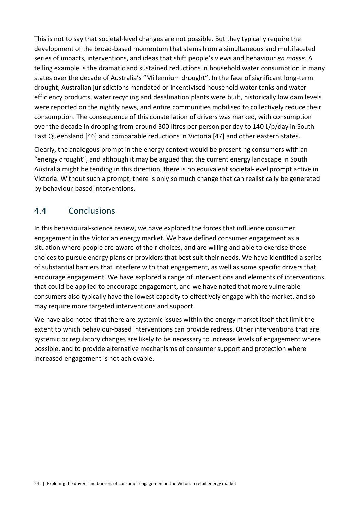This is not to say that societal-level changes are not possible. But they typically require the development of the broad-based momentum that stems from a simultaneous and multifaceted series of impacts, interventions, and ideas that shift people's views and behaviour *en masse*. A telling example is the dramatic and sustained reductions in household water consumption in many states over the decade of Australia's "Millennium drought". In the face of significant long-term drought, Australian jurisdictions mandated or incentivised household water tanks and water efficiency products, water recycling and desalination plants were built, historically low dam levels were reported on the nightly news, and entire communities mobilised to collectively reduce their consumption. The consequence of this constellation of drivers was marked, with consumption over the decade in dropping from around 300 litres per person per day to 140 L/p/day in South East Queensland [46] and comparable reductions in Victoria [47] and other eastern states.

Clearly, the analogous prompt in the energy context would be presenting consumers with an "energy drought", and although it may be argued that the current energy landscape in South Australia might be tending in this direction, there is no equivalent societal-level prompt active in Victoria. Without such a prompt, there is only so much change that can realistically be generated by behaviour-based interventions.

## 4.4 Conclusions

In this behavioural-science review, we have explored the forces that influence consumer engagement in the Victorian energy market. We have defined consumer engagement as a situation where people are aware of their choices, and are willing and able to exercise those choices to pursue energy plans or providers that best suit their needs. We have identified a series of substantial barriers that interfere with that engagement, as well as some specific drivers that encourage engagement. We have explored a range of interventions and elements of interventions that could be applied to encourage engagement, and we have noted that more vulnerable consumers also typically have the lowest capacity to effectively engage with the market, and so may require more targeted interventions and support.

We have also noted that there are systemic issues within the energy market itself that limit the extent to which behaviour-based interventions can provide redress. Other interventions that are systemic or regulatory changes are likely to be necessary to increase levels of engagement where possible, and to provide alternative mechanisms of consumer support and protection where increased engagement is not achievable.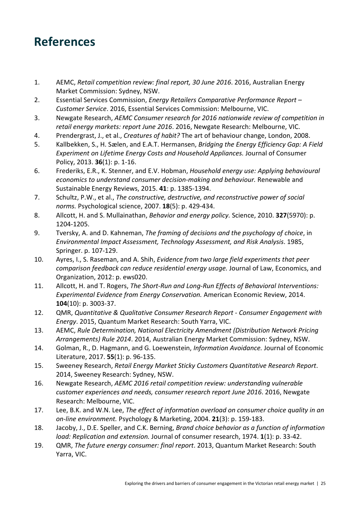## **References**

- 1. AEMC, *Retail competition review: final report, 30 June 2016*. 2016, Australian Energy Market Commission: Sydney, NSW.
- 2. Essential Services Commission, *Energy Retailers Comparative Performance Report Customer Service*. 2016, Essential Services Commission: Melbourne, VIC.
- 3. Newgate Research, *AEMC Consumer research for 2016 nationwide review of competition in retail energy markets: report June 2016*. 2016, Newgate Research: Melbourne, VIC.
- 4. Prendergrast, J., et al., *Creatures of habit?* The art of behaviour change, London, 2008.
- 5. Kallbekken, S., H. Sælen, and E.A.T. Hermansen, *Bridging the Energy Efficiency Gap: A Field Experiment on Lifetime Energy Costs and Household Appliances.* Journal of Consumer Policy, 2013. **36**(1): p. 1-16.
- 6. Frederiks, E.R., K. Stenner, and E.V. Hobman, *Household energy use: Applying behavioural economics to understand consumer decision-making and behaviour.* Renewable and Sustainable Energy Reviews, 2015. **41**: p. 1385-1394.
- 7. Schultz, P.W., et al., *The constructive, destructive, and reconstructive power of social norms.* Psychological science, 2007. **18**(5): p. 429-434.
- 8. Allcott, H. and S. Mullainathan, *Behavior and energy policy.* Science, 2010. **327**(5970): p. 1204-1205.
- 9. Tversky, A. and D. Kahneman, *The framing of decisions and the psychology of choice*, in *Environmental Impact Assessment, Technology Assessment, and Risk Analysis*. 1985, Springer. p. 107-129.
- 10. Ayres, I., S. Raseman, and A. Shih, *Evidence from two large field experiments that peer comparison feedback can reduce residential energy usage.* Journal of Law, Economics, and Organization, 2012: p. ews020.
- 11. Allcott, H. and T. Rogers, *The Short-Run and Long-Run Effects of Behavioral Interventions: Experimental Evidence from Energy Conservation.* American Economic Review, 2014. **104**(10): p. 3003-37.
- 12. QMR, *Quantitative & Qualitative Consumer Research Report Consumer Engagement with Energy*. 2015, Quantum Market Research: South Yarra, VIC.
- 13. AEMC, *Rule Determination, National Electricity Amendment (Distribution Network Pricing Arrangements) Rule 2014*. 2014, Australian Energy Market Commission: Sydney, NSW.
- 14. Golman, R., D. Hagmann, and G. Loewenstein, *Information Avoidance.* Journal of Economic Literature, 2017. **55**(1): p. 96-135.
- 15. Sweeney Research, *Retail Energy Market Sticky Customers Quantitative Research Report*. 2014, Sweeney Research: Sydney, NSW.
- 16. Newgate Research, *AEMC 2016 retail competition review: understanding vulnerable customer experiences and needs, consumer research report June 2016*. 2016, Newgate Research: Melbourne, VIC.
- 17. Lee, B.K. and W.N. Lee, *The effect of information overload on consumer choice quality in an on-line environment.* Psychology & Marketing, 2004. **21**(3): p. 159-183.
- 18. Jacoby, J., D.E. Speller, and C.K. Berning, *Brand choice behavior as a function of information load: Replication and extension.* Journal of consumer research, 1974. **1**(1): p. 33-42.
- 19. QMR, *The future energy consumer: final report*. 2013, Quantum Market Research: South Yarra, VIC.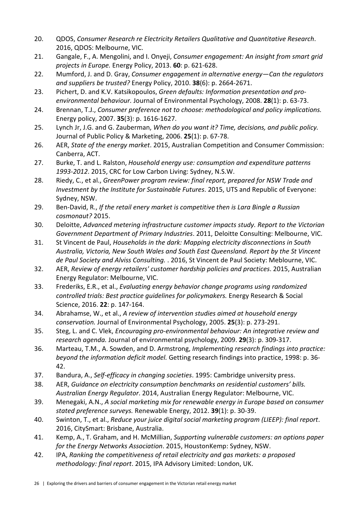- 20. QDOS, *Consumer Research re Electricity Retailers Qualitative and Quantitative Research*. 2016, QDOS: Melbourne, VIC.
- 21. Gangale, F., A. Mengolini, and I. Onyeji, *Consumer engagement: An insight from smart grid projects in Europe.* Energy Policy, 2013. **60**: p. 621-628.
- 22. Mumford, J. and D. Gray, *Consumer engagement in alternative energy—Can the regulators and suppliers be trusted?* Energy Policy, 2010. **38**(6): p. 2664-2671.
- 23. Pichert, D. and K.V. Katsikopoulos, *Green defaults: Information presentation and proenvironmental behaviour.* Journal of Environmental Psychology, 2008. **28**(1): p. 63-73.
- 24. Brennan, T.J., *Consumer preference not to choose: methodological and policy implications.* Energy policy, 2007. **35**(3): p. 1616-1627.
- 25. Lynch Jr, J.G. and G. Zauberman, *When do you want it? Time, decisions, and public policy.* Journal of Public Policy & Marketing, 2006. **25**(1): p. 67-78.
- 26. AER, *State of the energy market*. 2015, Australian Competition and Consumer Commission: Canberra, ACT.
- 27. Burke, T. and L. Ralston, *Household energy use: consumption and expenditure patterns 1993-2012*. 2015, CRC for Low Carbon Living: Sydney, N.S.W.
- 28. Riedy, C., et al., *GreenPower program review: final report, prepared for NSW Trade and Investment by the Institute for Sustainable Futures*. 2015, UTS and Republic of Everyone: Sydney, NSW.
- 29. Ben-David, R., *If the retail enery market is competitive then is Lara Bingle a Russian cosmonaut?* 2015.
- 30. Deloitte, *Advanced metering infrastructure customer impacts study. Report to the Victorian Government Department of Primary Industries*. 2011, Deloitte Consulting: Melbourne, VIC.
- 31. St Vincent de Paul, *Households in the dark: Mapping electricity disconnections in South Australia, Victoria, New South Wales and South East Queensland. Report by the St Vincent de Paul Society and Alviss Consulting.* . 2016, St Vincent de Paul Society: Meblourne, VIC.
- 32. AER, *Review of energy retailers' customer hardship policies and practices*. 2015, Australian Energy Regulator: Melbourne, VIC.
- 33. Frederiks, E.R., et al., *Evaluating energy behavior change programs using randomized controlled trials: Best practice guidelines for policymakers.* Energy Research & Social Science, 2016. **22**: p. 147-164.
- 34. Abrahamse, W., et al., *A review of intervention studies aimed at household energy conservation.* Journal of Environmental Psychology, 2005. **25**(3): p. 273-291.
- 35. Steg, L. and C. Vlek, *Encouraging pro-environmental behaviour: An integrative review and research agenda.* Journal of environmental psychology, 2009. **29**(3): p. 309-317.
- 36. Marteau, T.M., A. Sowden, and D. Armstrong, *Implementing research findings into practice: beyond the information deficit model.* Getting research findings into practice, 1998: p. 36- 42.
- 37. Bandura, A., *Self-efficacy in changing societies*. 1995: Cambridge university press.
- 38. AER, *Guidance on electricity consumption benchmarks on residential customers' bills. Australian Energy Regulator*. 2014, Australian Energy Regulator: Melbourne, VIC.
- 39. Menegaki, A.N., *A social marketing mix for renewable energy in Europe based on consumer stated preference surveys.* Renewable Energy, 2012. **39**(1): p. 30-39.
- 40. Swinton, T., et al., *Reduce your juice digital social marketing program (LIEEP): final report*. 2016, CitySmart: Brisbane, Australia.
- 41. Kemp, A., T. Graham, and H. McMillian, *Supporting vulnerable customers: an options paper for the Energy Networks Association*. 2015, HoustonKemp: Sydney, NSW.
- 42. IPA, *Ranking the competitiveness of retail electricity and gas markets: a proposed methodology: final report*. 2015, IPA Advisory Limited: London, UK.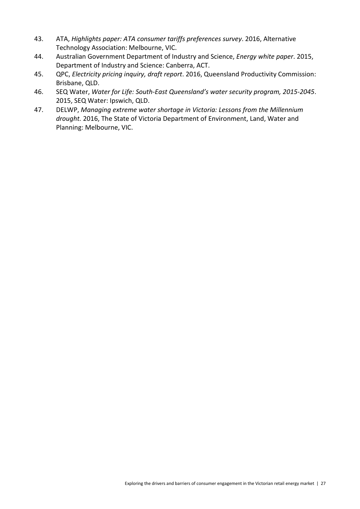- 43. ATA, *Highlights paper: ATA consumer tariffs preferences survey*. 2016, Alternative Technology Association: Melbourne, VIC.
- 44. Australian Government Department of Industry and Science, *Energy white paper*. 2015, Department of Industry and Science: Canberra, ACT.
- 45. QPC, *Electricity pricing inquiry, draft report*. 2016, Queensland Productivity Commission: Brisbane, QLD.
- 46. SEQ Water, *Water for Life: South-East Queensland's water security program, 2015-2045*. 2015, SEQ Water: Ipswich, QLD.
- 47. DELWP, *Managing extreme water shortage in Victoria: Lessons from the Millennium drought.* 2016, The State of Victoria Department of Environment, Land, Water and Planning: Melbourne, VIC.